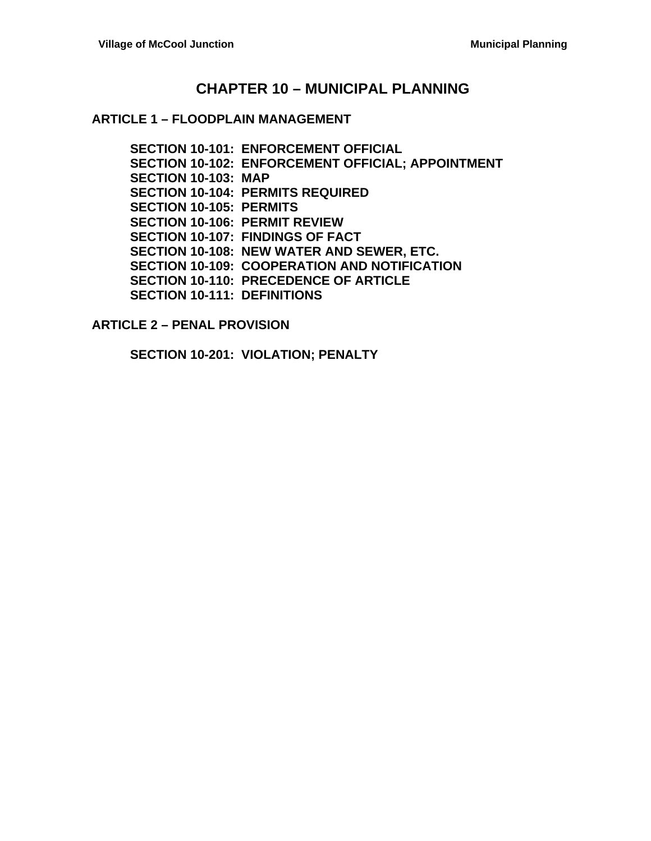### **CHAPTER 10 – MUNICIPAL PLANNING**

#### **ARTICLE 1 – FLOODPLAIN MANAGEMENT**

**SECTION 10-101: ENFORCEMENT OFFICIAL SECTION 10-102: ENFORCEMENT OFFICIAL; APPOINTMENT SECTION 10-103: MAP SECTION 10-104: PERMITS REQUIRED SECTION 10-105: PERMITS SECTION 10-106: PERMIT REVIEW SECTION 10-107: FINDINGS OF FACT SECTION 10-108: NEW WATER AND SEWER, ETC. SECTION 10-109: COOPERATION AND NOTIFICATION SECTION 10-110: PRECEDENCE OF ARTICLE SECTION 10-111: DEFINITIONS**

**ARTICLE 2 – PENAL PROVISION**

**SECTION 10-201: VIOLATION; PENALTY**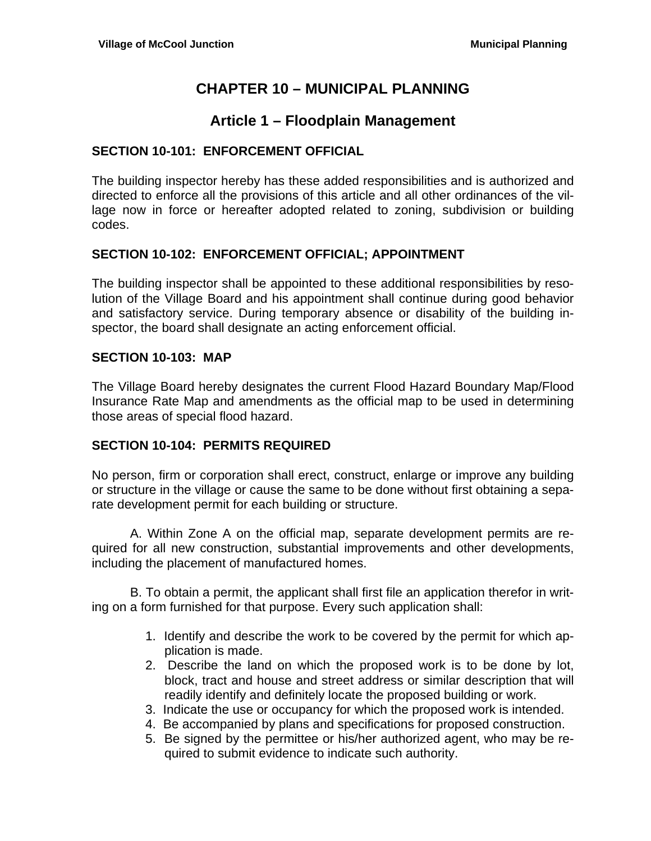# **CHAPTER 10 – MUNICIPAL PLANNING**

### **Article 1 – Floodplain Management**

#### **SECTION 10-101: ENFORCEMENT OFFICIAL**

The building inspector hereby has these added responsibilities and is authorized and directed to enforce all the provisions of this article and all other ordinances of the village now in force or hereafter adopted related to zoning, subdivision or building codes.

#### **SECTION 10-102: ENFORCEMENT OFFICIAL; APPOINTMENT**

The building inspector shall be appointed to these additional responsibilities by resolution of the Village Board and his appointment shall continue during good behavior and satisfactory service. During temporary absence or disability of the building inspector, the board shall designate an acting enforcement official.

#### **SECTION 10-103: MAP**

The Village Board hereby designates the current Flood Hazard Boundary Map/Flood Insurance Rate Map and amendments as the official map to be used in determining those areas of special flood hazard.

#### **SECTION 10-104: PERMITS REQUIRED**

No person, firm or corporation shall erect, construct, enlarge or improve any building or structure in the village or cause the same to be done without first obtaining a separate development permit for each building or structure.

 A. Within Zone A on the official map, separate development permits are required for all new construction, substantial improvements and other developments, including the placement of manufactured homes.

 B. To obtain a permit, the applicant shall first file an application therefor in writing on a form furnished for that purpose. Every such application shall:

- 1. Identify and describe the work to be covered by the permit for which application is made.
- 2. Describe the land on which the proposed work is to be done by lot, block, tract and house and street address or similar description that will readily identify and definitely locate the proposed building or work.
- 3. Indicate the use or occupancy for which the proposed work is intended.
- 4. Be accompanied by plans and specifications for proposed construction.
- 5. Be signed by the permittee or his/her authorized agent, who may be required to submit evidence to indicate such authority.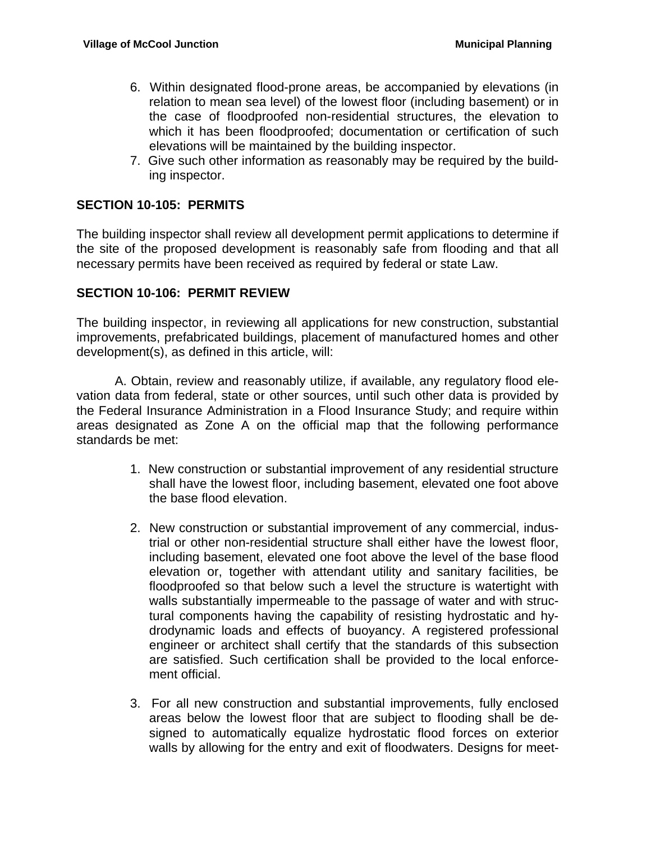- 6. Within designated flood-prone areas, be accompanied by elevations (in relation to mean sea level) of the lowest floor (including basement) or in the case of floodproofed non-residential structures, the elevation to which it has been floodproofed; documentation or certification of such elevations will be maintained by the building inspector.
- 7. Give such other information as reasonably may be required by the building inspector.

#### **SECTION 10-105: PERMITS**

The building inspector shall review all development permit applications to determine if the site of the proposed development is reasonably safe from flooding and that all necessary permits have been received as required by federal or state Law.

#### **SECTION 10-106: PERMIT REVIEW**

The building inspector, in reviewing all applications for new construction, substantial improvements, prefabricated buildings, placement of manufactured homes and other development(s), as defined in this article, will:

 A. Obtain, review and reasonably utilize, if available, any regulatory flood elevation data from federal, state or other sources, until such other data is provided by the Federal Insurance Administration in a Flood Insurance Study; and require within areas designated as Zone A on the official map that the following performance standards be met:

- 1. New construction or substantial improvement of any residential structure shall have the lowest floor, including basement, elevated one foot above the base flood elevation.
- 2. New construction or substantial improvement of any commercial, industrial or other non-residential structure shall either have the lowest floor, including basement, elevated one foot above the level of the base flood elevation or, together with attendant utility and sanitary facilities, be floodproofed so that below such a level the structure is watertight with walls substantially impermeable to the passage of water and with structural components having the capability of resisting hydrostatic and hydrodynamic loads and effects of buoyancy. A registered professional engineer or architect shall certify that the standards of this subsection are satisfied. Such certification shall be provided to the local enforcement official.
- 3. For all new construction and substantial improvements, fully enclosed areas below the lowest floor that are subject to flooding shall be designed to automatically equalize hydrostatic flood forces on exterior walls by allowing for the entry and exit of floodwaters. Designs for meet-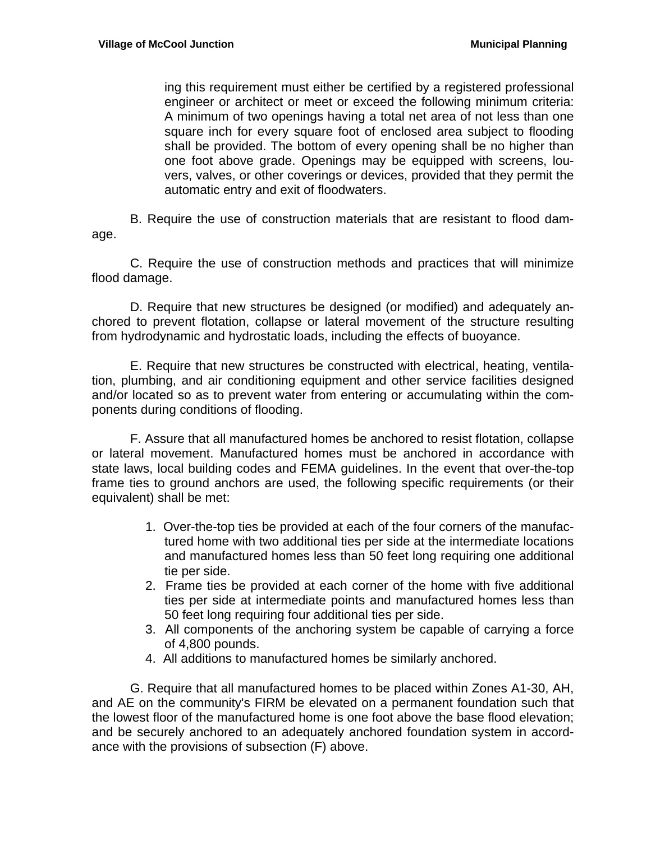ing this requirement must either be certified by a registered professional engineer or architect or meet or exceed the following minimum criteria: A minimum of two openings having a total net area of not less than one square inch for every square foot of enclosed area subject to flooding shall be provided. The bottom of every opening shall be no higher than one foot above grade. Openings may be equipped with screens, louvers, valves, or other coverings or devices, provided that they permit the automatic entry and exit of floodwaters.

 B. Require the use of construction materials that are resistant to flood damage.

 C. Require the use of construction methods and practices that will minimize flood damage.

 D. Require that new structures be designed (or modified) and adequately anchored to prevent flotation, collapse or lateral movement of the structure resulting from hydrodynamic and hydrostatic loads, including the effects of buoyance.

 E. Require that new structures be constructed with electrical, heating, ventilation, plumbing, and air conditioning equipment and other service facilities designed and/or located so as to prevent water from entering or accumulating within the components during conditions of flooding.

 F. Assure that all manufactured homes be anchored to resist flotation, collapse or lateral movement. Manufactured homes must be anchored in accordance with state laws, local building codes and FEMA guidelines. In the event that over-the-top frame ties to ground anchors are used, the following specific requirements (or their equivalent) shall be met:

- 1. Over-the-top ties be provided at each of the four corners of the manufactured home with two additional ties per side at the intermediate locations and manufactured homes less than 50 feet long requiring one additional tie per side.
- 2. Frame ties be provided at each corner of the home with five additional ties per side at intermediate points and manufactured homes less than 50 feet long requiring four additional ties per side.
- 3. All components of the anchoring system be capable of carrying a force of 4,800 pounds.
- 4. All additions to manufactured homes be similarly anchored.

 G. Require that all manufactured homes to be placed within Zones A1-30, AH, and AE on the community's FIRM be elevated on a permanent foundation such that the lowest floor of the manufactured home is one foot above the base flood elevation; and be securely anchored to an adequately anchored foundation system in accordance with the provisions of subsection (F) above.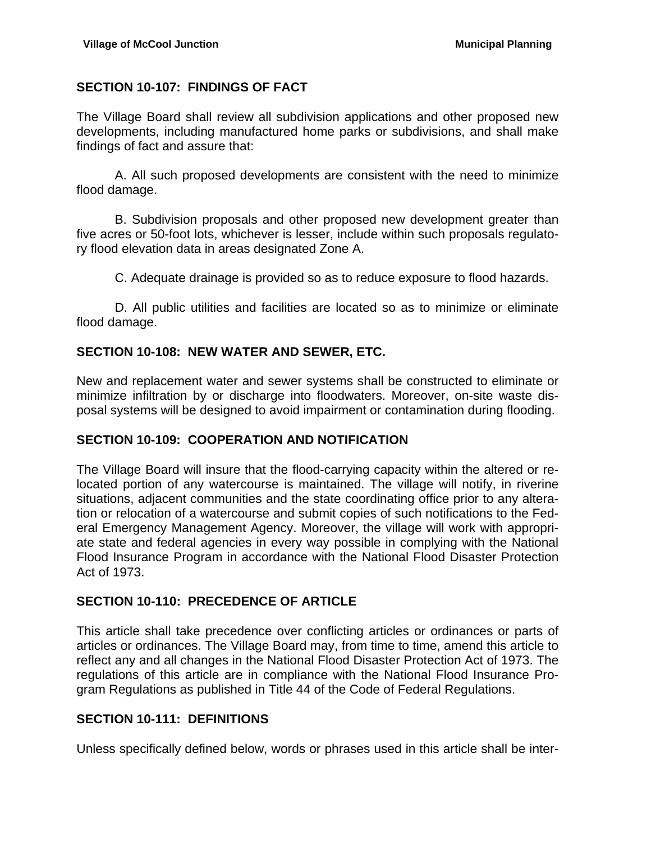#### **SECTION 10-107: FINDINGS OF FACT**

The Village Board shall review all subdivision applications and other proposed new developments, including manufactured home parks or subdivisions, and shall make findings of fact and assure that:

 A. All such proposed developments are consistent with the need to minimize flood damage.

 B. Subdivision proposals and other proposed new development greater than five acres or 50-foot lots, whichever is lesser, include within such proposals regulatory flood elevation data in areas designated Zone A.

C. Adequate drainage is provided so as to reduce exposure to flood hazards.

 D. All public utilities and facilities are located so as to minimize or eliminate flood damage.

#### **SECTION 10-108: NEW WATER AND SEWER, ETC.**

New and replacement water and sewer systems shall be constructed to eliminate or minimize infiltration by or discharge into floodwaters. Moreover, on-site waste disposal systems will be designed to avoid impairment or contamination during flooding.

#### **SECTION 10-109: COOPERATION AND NOTIFICATION**

The Village Board will insure that the flood-carrying capacity within the altered or relocated portion of any watercourse is maintained. The village will notify, in riverine situations, adjacent communities and the state coordinating office prior to any alteration or relocation of a watercourse and submit copies of such notifications to the Federal Emergency Management Agency. Moreover, the village will work with appropriate state and federal agencies in every way possible in complying with the National Flood Insurance Program in accordance with the National Flood Disaster Protection Act of 1973.

#### **SECTION 10-110: PRECEDENCE OF ARTICLE**

This article shall take precedence over conflicting articles or ordinances or parts of articles or ordinances. The Village Board may, from time to time, amend this article to reflect any and all changes in the National Flood Disaster Protection Act of 1973. The regulations of this article are in compliance with the National Flood Insurance Program Regulations as published in Title 44 of the Code of Federal Regulations.

#### **SECTION 10-111: DEFINITIONS**

Unless specifically defined below, words or phrases used in this article shall be inter-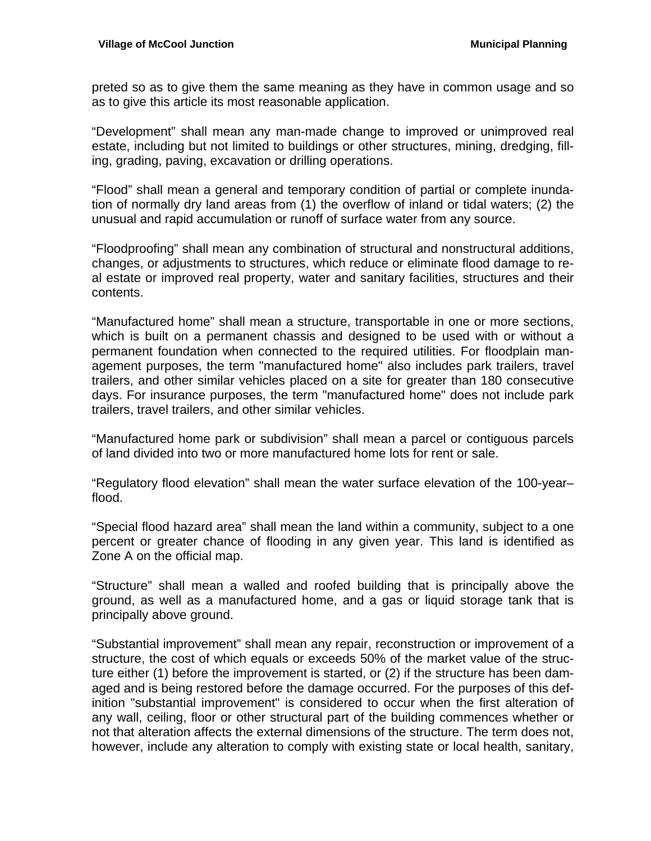preted so as to give them the same meaning as they have in common usage and so as to give this article its most reasonable application.

"Development" shall mean any man-made change to improved or unimproved real estate, including but not limited to buildings or other structures, mining, dredging, filling, grading, paving, excavation or drilling operations.

"Flood" shall mean a general and temporary condition of partial or complete inundation of normally dry land areas from (1) the overflow of inland or tidal waters; (2) the unusual and rapid accumulation or runoff of surface water from any source.

"Floodproofing" shall mean any combination of structural and nonstructural additions, changes, or adjustments to structures, which reduce or eliminate flood damage to real estate or improved real property, water and sanitary facilities, structures and their contents.

"Manufactured home" shall mean a structure, transportable in one or more sections, which is built on a permanent chassis and designed to be used with or without a permanent foundation when connected to the required utilities. For floodplain management purposes, the term "manufactured home" also includes park trailers, travel trailers, and other similar vehicles placed on a site for greater than 180 consecutive days. For insurance purposes, the term "manufactured home" does not include park trailers, travel trailers, and other similar vehicles.

"Manufactured home park or subdivision" shall mean a parcel or contiguous parcels of land divided into two or more manufactured home lots for rent or sale.

"Regulatory flood elevation" shall mean the water surface elevation of the 100-year– flood.

"Special flood hazard area" shall mean the land within a community, subject to a one percent or greater chance of flooding in any given year. This land is identified as Zone A on the official map.

"Structure" shall mean a walled and roofed building that is principally above the ground, as well as a manufactured home, and a gas or liquid storage tank that is principally above ground.

"Substantial improvement" shall mean any repair, reconstruction or improvement of a structure, the cost of which equals or exceeds 50% of the market value of the structure either (1) before the improvement is started, or (2) if the structure has been damaged and is being restored before the damage occurred. For the purposes of this definition "substantial improvement" is considered to occur when the first alteration of any wall, ceiling, floor or other structural part of the building commences whether or not that alteration affects the external dimensions of the structure. The term does not, however, include any alteration to comply with existing state or local health, sanitary,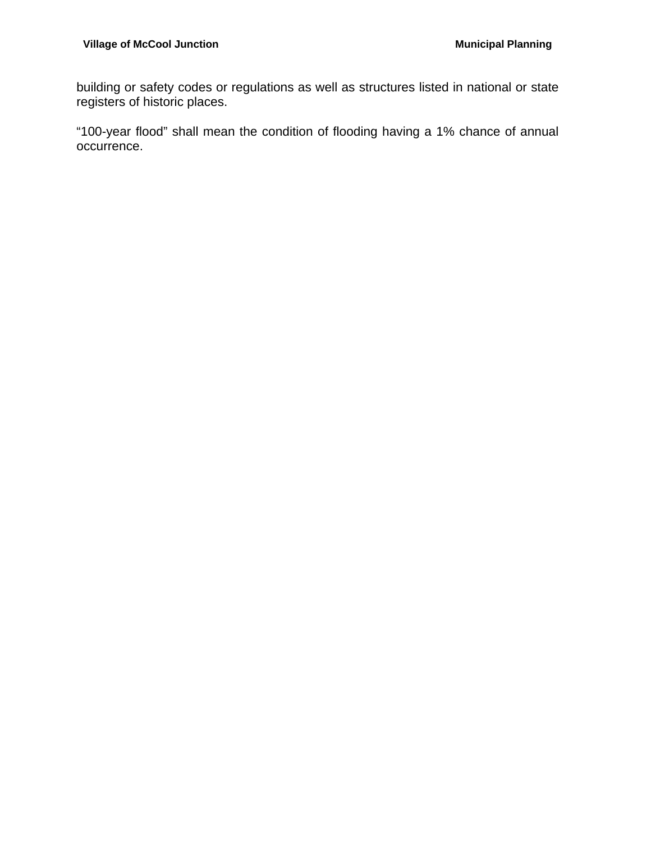building or safety codes or regulations as well as structures listed in national or state registers of historic places.

"100-year flood" shall mean the condition of flooding having a 1% chance of annual occurrence.